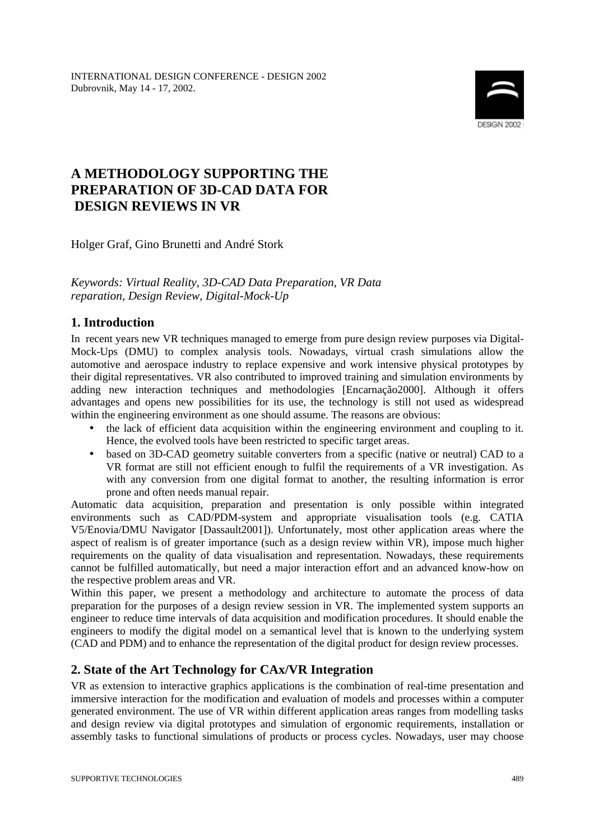

# **A METHODOLOGY SUPPORTING THE PREPARATION OF 3D-CAD DATA FOR DESIGN REVIEWS IN VR**

Holger Graf, Gino Brunetti and André Stork

### *Keywords: Virtual Reality, 3D-CAD Data Preparation, VR Data reparation, Design Review, Digital-Mock-Up*

## **1. Introduction**

In recent years new VR techniques managed to emerge from pure design review purposes via Digital-Mock-Ups (DMU) to complex analysis tools. Nowadays, virtual crash simulations allow the automotive and aerospace industry to replace expensive and work intensive physical prototypes by their digital representatives. VR also contributed to improved training and simulation environments by adding new interaction techniques and methodologies [Encarnação2000]. Although it offers advantages and opens new possibilities for its use, the technology is still not used as widespread within the engineering environment as one should assume. The reasons are obvious:

- the lack of efficient data acquisition within the engineering environment and coupling to it. Hence, the evolved tools have been restricted to specific target areas.
- based on 3D-CAD geometry suitable converters from a specific (native or neutral) CAD to a VR format are still not efficient enough to fulfil the requirements of a VR investigation. As with any conversion from one digital format to another, the resulting information is error prone and often needs manual repair.

Automatic data acquisition, preparation and presentation is only possible within integrated environments such as CAD/PDM-system and appropriate visualisation tools (e.g. CATIA V5/Enovia/DMU Navigator [Dassault2001]). Unfortunately, most other application areas where the aspect of realism is of greater importance (such as a design review within VR), impose much higher requirements on the quality of data visualisation and representation. Nowadays, these requirements cannot be fulfilled automatically, but need a major interaction effort and an advanced know-how on the respective problem areas and VR.

Within this paper, we present a methodology and architecture to automate the process of data preparation for the purposes of a design review session in VR. The implemented system supports an engineer to reduce time intervals of data acquisition and modification procedures. It should enable the engineers to modify the digital model on a semantical level that is known to the underlying system (CAD and PDM) and to enhance the representation of the digital product for design review processes.

## **2. State of the Art Technology for CAx/VR Integration**

VR as extension to interactive graphics applications is the combination of real-time presentation and immersive interaction for the modification and evaluation of models and processes within a computer generated environment. The use of VR within different application areas ranges from modelling tasks and design review via digital prototypes and simulation of ergonomic requirements, installation or assembly tasks to functional simulations of products or process cycles. Nowadays, user may choose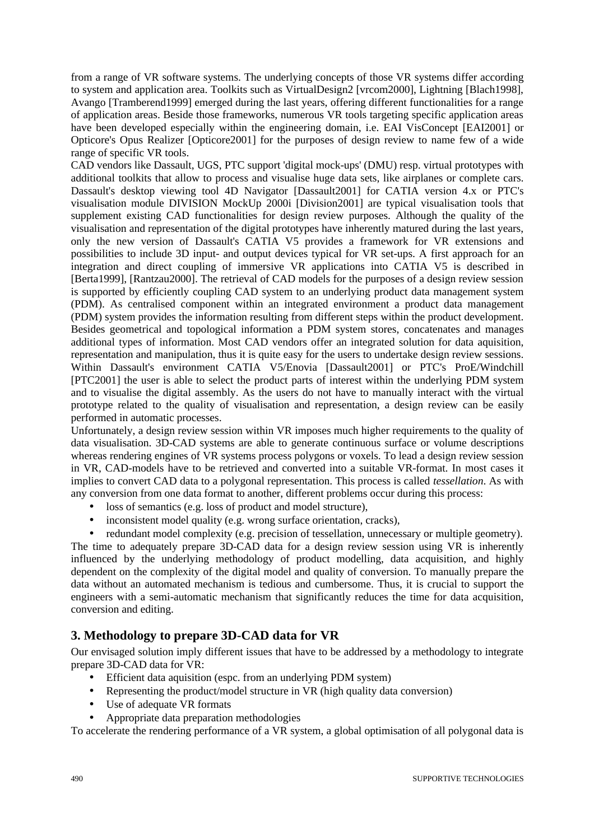from a range of VR software systems. The underlying concepts of those VR systems differ according to system and application area. Toolkits such as VirtualDesign2 [vrcom2000], Lightning [Blach1998], Avango [Tramberend1999] emerged during the last years, offering different functionalities for a range of application areas. Beside those frameworks, numerous VR tools targeting specific application areas have been developed especially within the engineering domain, i.e. EAI VisConcept [EAI2001] or Opticore's Opus Realizer [Opticore2001] for the purposes of design review to name few of a wide range of specific VR tools.

CAD vendors like Dassault, UGS, PTC support 'digital mock-ups' (DMU) resp. virtual prototypes with additional toolkits that allow to process and visualise huge data sets, like airplanes or complete cars. Dassault's desktop viewing tool 4D Navigator [Dassault2001] for CATIA version 4.x or PTC's visualisation module DIVISION MockUp 2000i [Division2001] are typical visualisation tools that supplement existing CAD functionalities for design review purposes. Although the quality of the visualisation and representation of the digital prototypes have inherently matured during the last years, only the new version of Dassault's CATIA V5 provides a framework for VR extensions and possibilities to include 3D input- and output devices typical for VR set-ups. A first approach for an integration and direct coupling of immersive VR applications into CATIA V5 is described in [Berta1999], [Rantzau2000]. The retrieval of CAD models for the purposes of a design review session is supported by efficiently coupling CAD system to an underlying product data management system (PDM). As centralised component within an integrated environment a product data management (PDM) system provides the information resulting from different steps within the product development. Besides geometrical and topological information a PDM system stores, concatenates and manages additional types of information. Most CAD vendors offer an integrated solution for data aquisition, representation and manipulation, thus it is quite easy for the users to undertake design review sessions. Within Dassault's environment CATIA V5/Enovia [Dassault2001] or PTC's ProE/Windchill [PTC2001] the user is able to select the product parts of interest within the underlying PDM system and to visualise the digital assembly. As the users do not have to manually interact with the virtual prototype related to the quality of visualisation and representation, a design review can be easily performed in automatic processes.

Unfortunately, a design review session within VR imposes much higher requirements to the quality of data visualisation. 3D-CAD systems are able to generate continuous surface or volume descriptions whereas rendering engines of VR systems process polygons or voxels. To lead a design review session in VR, CAD-models have to be retrieved and converted into a suitable VR-format. In most cases it implies to convert CAD data to a polygonal representation. This process is called *tessellation*. As with any conversion from one data format to another, different problems occur during this process:

- loss of semantics (e.g. loss of product and model structure),
- inconsistent model quality (e.g. wrong surface orientation, cracks),

• redundant model complexity (e.g. precision of tessellation, unnecessary or multiple geometry). The time to adequately prepare 3D-CAD data for a design review session using VR is inherently influenced by the underlying methodology of product modelling, data acquisition, and highly dependent on the complexity of the digital model and quality of conversion. To manually prepare the data without an automated mechanism is tedious and cumbersome. Thus, it is crucial to support the engineers with a semi-automatic mechanism that significantly reduces the time for data acquisition, conversion and editing.

## **3. Methodology to prepare 3D-CAD data for VR**

Our envisaged solution imply different issues that have to be addressed by a methodology to integrate prepare 3D-CAD data for VR:

- Efficient data aquisition (espc. from an underlying PDM system)
- Representing the product/model structure in VR (high quality data conversion)
- Use of adequate VR formats
- Appropriate data preparation methodologies

To accelerate the rendering performance of a VR system, a global optimisation of all polygonal data is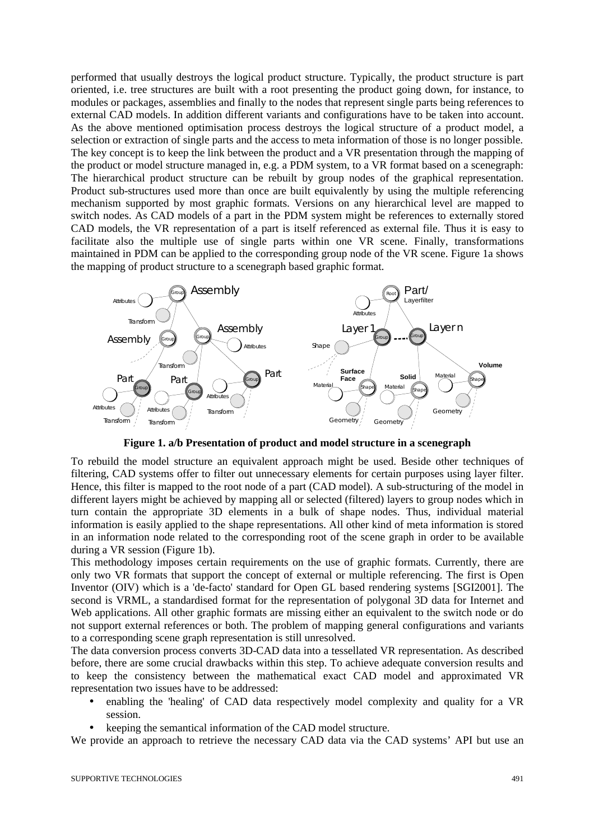performed that usually destroys the logical product structure. Typically, the product structure is part oriented, i.e. tree structures are built with a root presenting the product going down, for instance, to modules or packages, assemblies and finally to the nodes that represent single parts being references to external CAD models. In addition different variants and configurations have to be taken into account. As the above mentioned optimisation process destroys the logical structure of a product model, a selection or extraction of single parts and the access to meta information of those is no longer possible. The key concept is to keep the link between the product and a VR presentation through the mapping of the product or model structure managed in, e.g. a PDM system, to a VR format based on a scenegraph: The hierarchical product structure can be rebuilt by group nodes of the graphical representation. Product sub-structures used more than once are built equivalently by using the multiple referencing mechanism supported by most graphic formats. Versions on any hierarchical level are mapped to switch nodes. As CAD models of a part in the PDM system might be references to externally stored CAD models, the VR representation of a part is itself referenced as external file. Thus it is easy to facilitate also the multiple use of single parts within one VR scene. Finally, transformations maintained in PDM can be applied to the corresponding group node of the VR scene. Figure 1a shows the mapping of product structure to a scenegraph based graphic format.



**Figure 1. a/b Presentation of product and model structure in a scenegraph**

To rebuild the model structure an equivalent approach might be used. Beside other techniques of filtering, CAD systems offer to filter out unnecessary elements for certain purposes using layer filter. Hence, this filter is mapped to the root node of a part (CAD model). A sub-structuring of the model in different layers might be achieved by mapping all or selected (filtered) layers to group nodes which in turn contain the appropriate 3D elements in a bulk of shape nodes. Thus, individual material information is easily applied to the shape representations. All other kind of meta information is stored in an information node related to the corresponding root of the scene graph in order to be available during a VR session (Figure 1b).

This methodology imposes certain requirements on the use of graphic formats. Currently, there are only two VR formats that support the concept of external or multiple referencing. The first is Open Inventor (OIV) which is a 'de-facto' standard for Open GL based rendering systems [SGI2001]. The second is VRML, a standardised format for the representation of polygonal 3D data for Internet and Web applications. All other graphic formats are missing either an equivalent to the switch node or do not support external references or both. The problem of mapping general configurations and variants to a corresponding scene graph representation is still unresolved.

The data conversion process converts 3D-CAD data into a tessellated VR representation. As described before, there are some crucial drawbacks within this step. To achieve adequate conversion results and to keep the consistency between the mathematical exact CAD model and approximated VR representation two issues have to be addressed:

- enabling the 'healing' of CAD data respectively model complexity and quality for a VR session.
- keeping the semantical information of the CAD model structure.

We provide an approach to retrieve the necessary CAD data via the CAD systems' API but use an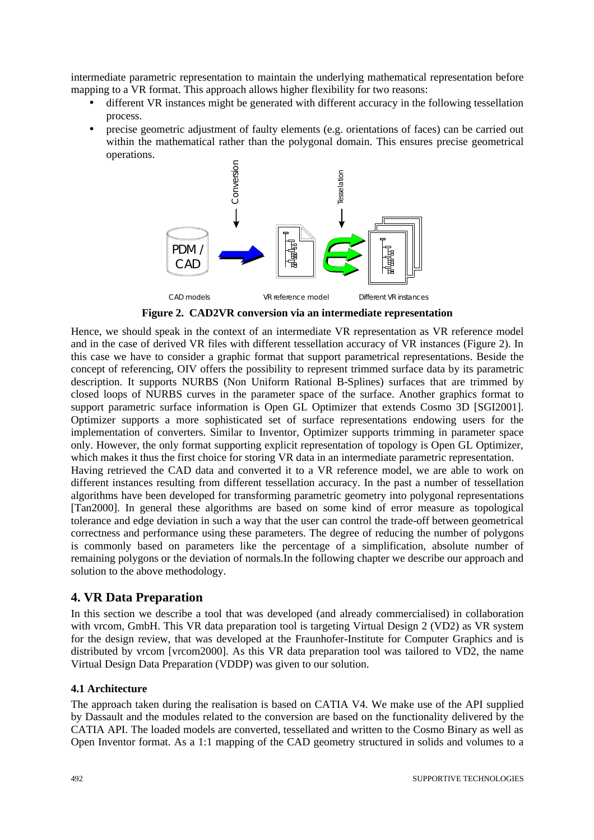intermediate parametric representation to maintain the underlying mathematical representation before mapping to a VR format. This approach allows higher flexibility for two reasons:

- different VR instances might be generated with different accuracy in the following tessellation process.
- precise geometric adjustment of faulty elements (e.g. orientations of faces) can be carried out within the mathematical rather than the polygonal domain. This ensures precise geometrical operations.



**Figure 2. CAD2VR conversion via an intermediate representation**

Hence, we should speak in the context of an intermediate VR representation as VR reference model and in the case of derived VR files with different tessellation accuracy of VR instances (Figure 2). In this case we have to consider a graphic format that support parametrical representations. Beside the concept of referencing, OIV offers the possibility to represent trimmed surface data by its parametric description. It supports NURBS (Non Uniform Rational B-Splines) surfaces that are trimmed by closed loops of NURBS curves in the parameter space of the surface. Another graphics format to support parametric surface information is Open GL Optimizer that extends Cosmo 3D [SGI2001]. Optimizer supports a more sophisticated set of surface representations endowing users for the implementation of converters. Similar to Inventor, Optimizer supports trimming in parameter space only. However, the only format supporting explicit representation of topology is Open GL Optimizer, which makes it thus the first choice for storing VR data in an intermediate parametric representation. Having retrieved the CAD data and converted it to a VR reference model, we are able to work on different instances resulting from different tessellation accuracy. In the past a number of tessellation algorithms have been developed for transforming parametric geometry into polygonal representations [Tan2000]. In general these algorithms are based on some kind of error measure as topological tolerance and edge deviation in such a way that the user can control the trade-off between geometrical correctness and performance using these parameters. The degree of reducing the number of polygons is commonly based on parameters like the percentage of a simplification, absolute number of remaining polygons or the deviation of normals.In the following chapter we describe our approach and solution to the above methodology.

## **4. VR Data Preparation**

In this section we describe a tool that was developed (and already commercialised) in collaboration with vrcom, GmbH. This VR data preparation tool is targeting Virtual Design 2 (VD2) as VR system for the design review, that was developed at the Fraunhofer-Institute for Computer Graphics and is distributed by vrcom [vrcom2000]. As this VR data preparation tool was tailored to VD2, the name Virtual Design Data Preparation (VDDP) was given to our solution.

#### **4.1 Architecture**

The approach taken during the realisation is based on CATIA V4. We make use of the API supplied by Dassault and the modules related to the conversion are based on the functionality delivered by the CATIA API. The loaded models are converted, tessellated and written to the Cosmo Binary as well as Open Inventor format. As a 1:1 mapping of the CAD geometry structured in solids and volumes to a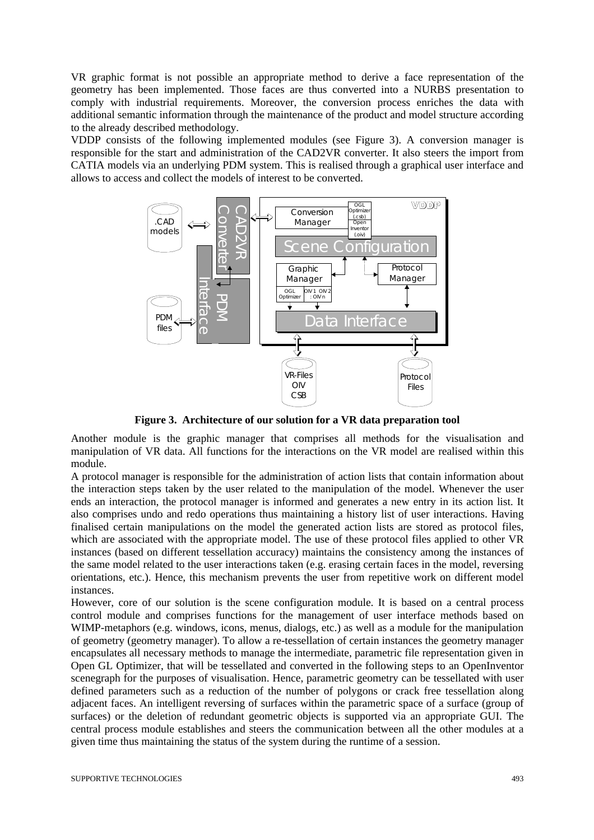VR graphic format is not possible an appropriate method to derive a face representation of the geometry has been implemented. Those faces are thus converted into a NURBS presentation to comply with industrial requirements. Moreover, the conversion process enriches the data with additional semantic information through the maintenance of the product and model structure according to the already described methodology.

VDDP consists of the following implemented modules (see Figure 3). A conversion manager is responsible for the start and administration of the CAD2VR converter. It also steers the import from CATIA models via an underlying PDM system. This is realised through a graphical user interface and allows to access and collect the models of interest to be converted.



**Figure 3. Architecture of our solution for a VR data preparation tool**

Another module is the graphic manager that comprises all methods for the visualisation and manipulation of VR data. All functions for the interactions on the VR model are realised within this module.

A protocol manager is responsible for the administration of action lists that contain information about the interaction steps taken by the user related to the manipulation of the model. Whenever the user ends an interaction, the protocol manager is informed and generates a new entry in its action list. It also comprises undo and redo operations thus maintaining a history list of user interactions. Having finalised certain manipulations on the model the generated action lists are stored as protocol files, which are associated with the appropriate model. The use of these protocol files applied to other VR instances (based on different tessellation accuracy) maintains the consistency among the instances of the same model related to the user interactions taken (e.g. erasing certain faces in the model, reversing orientations, etc.). Hence, this mechanism prevents the user from repetitive work on different model instances.

However, core of our solution is the scene configuration module. It is based on a central process control module and comprises functions for the management of user interface methods based on WIMP-metaphors (e.g. windows, icons, menus, dialogs, etc.) as well as a module for the manipulation of geometry (geometry manager). To allow a re-tessellation of certain instances the geometry manager encapsulates all necessary methods to manage the intermediate, parametric file representation given in Open GL Optimizer, that will be tessellated and converted in the following steps to an OpenInventor scenegraph for the purposes of visualisation. Hence, parametric geometry can be tessellated with user defined parameters such as a reduction of the number of polygons or crack free tessellation along adjacent faces. An intelligent reversing of surfaces within the parametric space of a surface (group of surfaces) or the deletion of redundant geometric objects is supported via an appropriate GUI. The central process module establishes and steers the communication between all the other modules at a given time thus maintaining the status of the system during the runtime of a session.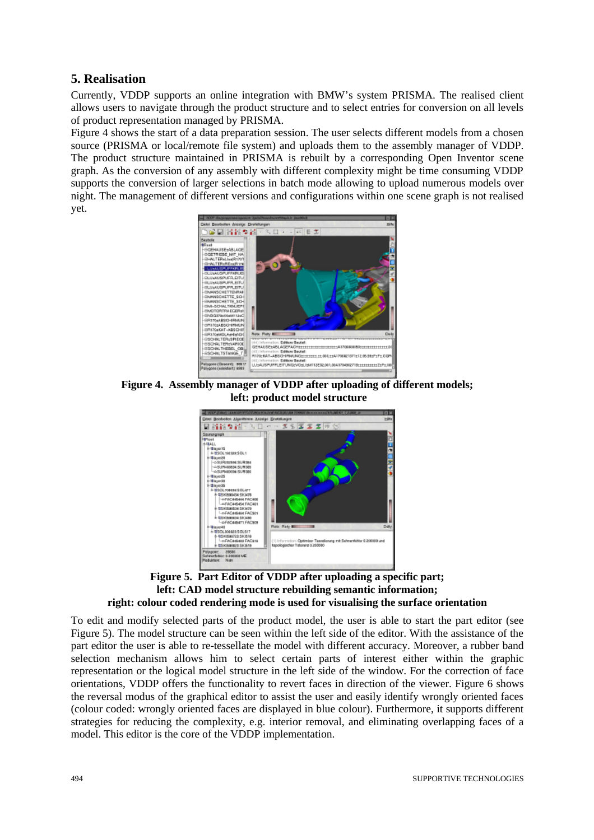## **5. Realisation**

Currently, VDDP supports an online integration with BMW's system PRISMA. The realised client allows users to navigate through the product structure and to select entries for conversion on all levels of product representation managed by PRISMA.

Figure 4 shows the start of a data preparation session. The user selects different models from a chosen source (PRISMA or local/remote file system) and uploads them to the assembly manager of VDDP. The product structure maintained in PRISMA is rebuilt by a corresponding Open Inventor scene graph. As the conversion of any assembly with different complexity might be time consuming VDDP supports the conversion of larger selections in batch mode allowing to upload numerous models over night. The management of different versions and configurations within one scene graph is not realised yet.



**Figure 4. Assembly manager of VDDP after uploading of different models; left: product model structure**





To edit and modify selected parts of the product model, the user is able to start the part editor (see Figure 5). The model structure can be seen within the left side of the editor. With the assistance of the part editor the user is able to re-tessellate the model with different accuracy. Moreover, a rubber band selection mechanism allows him to select certain parts of interest either within the graphic representation or the logical model structure in the left side of the window. For the correction of face orientations, VDDP offers the functionality to revert faces in direction of the viewer. Figure 6 shows the reversal modus of the graphical editor to assist the user and easily identify wrongly oriented faces (colour coded: wrongly oriented faces are displayed in blue colour). Furthermore, it supports different strategies for reducing the complexity, e.g. interior removal, and eliminating overlapping faces of a model. This editor is the core of the VDDP implementation.